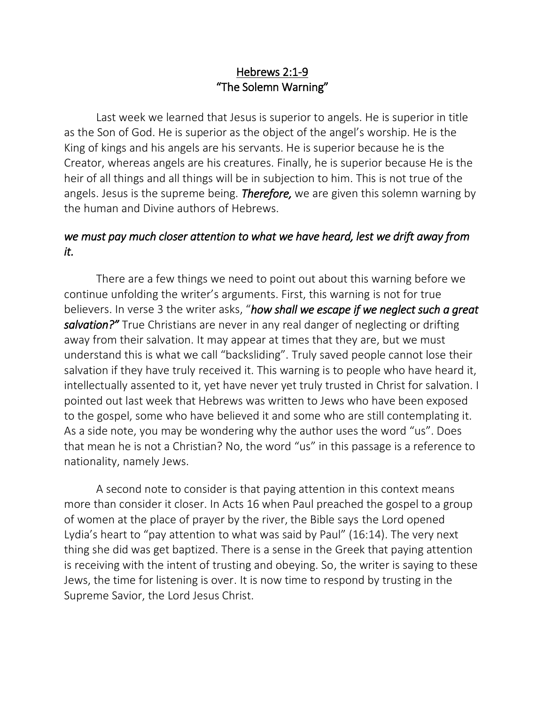## Hebrews 2:1-9 "The Solemn Warning"

Last week we learned that Jesus is superior to angels. He is superior in title as the Son of God. He is superior as the object of the angel's worship. He is the King of kings and his angels are his servants. He is superior because he is the Creator, whereas angels are his creatures. Finally, he is superior because He is the heir of all things and all things will be in subjection to him. This is not true of the angels. Jesus is the supreme being. *Therefore,* we are given this solemn warning by the human and Divine authors of Hebrews.

## *we must pay much closer attention to what we have heard, lest we drift away from it.*

There are a few things we need to point out about this warning before we continue unfolding the writer's arguments. First, this warning is not for true believers. In verse 3 the writer asks, "*how shall we escape if we neglect such a great salvation?"* True Christians are never in any real danger of neglecting or drifting away from their salvation. It may appear at times that they are, but we must understand this is what we call "backsliding". Truly saved people cannot lose their salvation if they have truly received it. This warning is to people who have heard it, intellectually assented to it, yet have never yet truly trusted in Christ for salvation. I pointed out last week that Hebrews was written to Jews who have been exposed to the gospel, some who have believed it and some who are still contemplating it. As a side note, you may be wondering why the author uses the word "us". Does that mean he is not a Christian? No, the word "us" in this passage is a reference to nationality, namely Jews.

A second note to consider is that paying attention in this context means more than consider it closer. In Acts 16 when Paul preached the gospel to a group of women at the place of prayer by the river, the Bible says the Lord opened Lydia's heart to "pay attention to what was said by Paul" (16:14). The very next thing she did was get baptized. There is a sense in the Greek that paying attention is receiving with the intent of trusting and obeying. So, the writer is saying to these Jews, the time for listening is over. It is now time to respond by trusting in the Supreme Savior, the Lord Jesus Christ.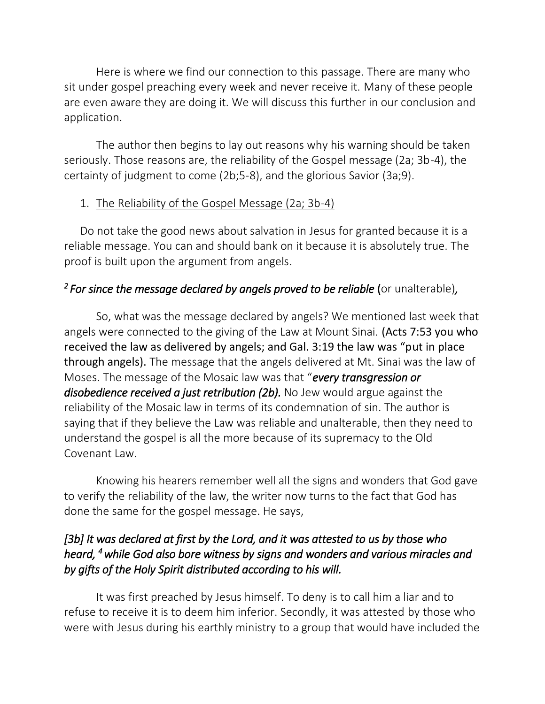Here is where we find our connection to this passage. There are many who sit under gospel preaching every week and never receive it. Many of these people are even aware they are doing it. We will discuss this further in our conclusion and application.

The author then begins to lay out reasons why his warning should be taken seriously. Those reasons are, the reliability of the Gospel message (2a; 3b-4), the certainty of judgment to come (2b;5-8), and the glorious Savior (3a;9).

#### 1. The Reliability of the Gospel Message (2a; 3b-4)

Do not take the good news about salvation in Jesus for granted because it is a reliable message. You can and should bank on it because it is absolutely true. The proof is built upon the argument from angels.

## *2 For since the message declared by angels proved to be reliable* (or unalterable)*,*

So, what was the message declared by angels? We mentioned last week that angels were connected to the giving of the Law at Mount Sinai. (Acts 7:53 you who received the law as delivered by angels; and Gal. 3:19 the law was "put in place through angels). The message that the angels delivered at Mt. Sinai was the law of Moses. The message of the Mosaic law was that "*every transgression or*  disobedience received a just retribution (2b). No Jew would argue against the reliability of the Mosaic law in terms of its condemnation of sin. The author is saying that if they believe the Law was reliable and unalterable, then they need to understand the gospel is all the more because of its supremacy to the Old Covenant Law.

Knowing his hearers remember well all the signs and wonders that God gave to verify the reliability of the law, the writer now turns to the fact that God has done the same for the gospel message. He says,

# *[3b] It was declared at first by the Lord, and it was attested to us by those who heard, <sup>4</sup>while God also bore witness by signs and wonders and various miracles and by gifts of the Holy Spirit distributed according to his will.*

It was first preached by Jesus himself. To deny is to call him a liar and to refuse to receive it is to deem him inferior. Secondly, it was attested by those who were with Jesus during his earthly ministry to a group that would have included the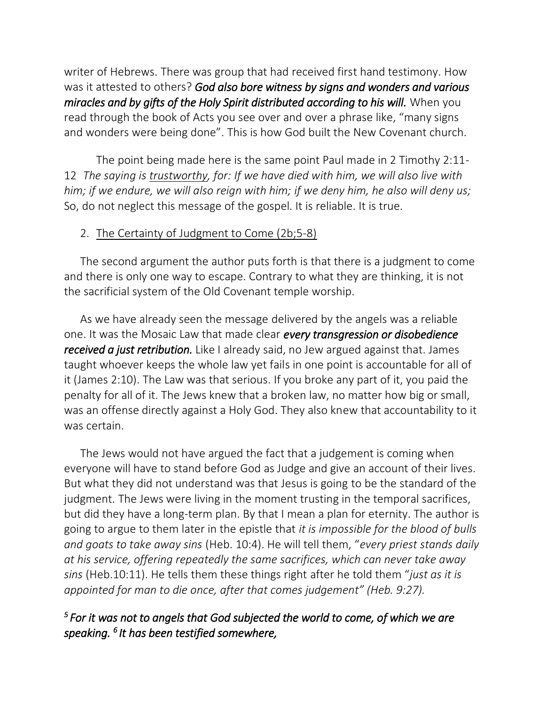writer of Hebrews. There was group that had received first hand testimony. How was it attested to others? *God also bore witness by signs and wonders and various miracles and by gifts of the Holy Spirit distributed according to his will.* When you read through the book of Acts you see over and over a phrase like, "many signs and wonders were being done". This is how God built the New Covenant church.

The point being made here is the same point Paul made in 2 Timothy 2:11- 12 *The saying is trustworthy, for: If we have died with him, we will also live with him; if we endure, we will also reign with him; if we deny him, he also will deny us;* So, do not neglect this message of the gospel. It is reliable. It is true.

#### 2. The Certainty of Judgment to Come (2b;5-8)

The second argument the author puts forth is that there is a judgment to come and there is only one way to escape. Contrary to what they are thinking, it is not the sacrificial system of the Old Covenant temple worship.

As we have already seen the message delivered by the angels was a reliable one. It was the Mosaic Law that made clear *every transgression or disobedience received a just retribution.* Like I already said, no Jew argued against that. James taught whoever keeps the whole law yet fails in one point is accountable for all of it (James 2:10). The Law was that serious. If you broke any part of it, you paid the penalty for all of it. The Jews knew that a broken law, no matter how big or small, was an offense directly against a Holy God. They also knew that accountability to it was certain.

The Jews would not have argued the fact that a judgement is coming when everyone will have to stand before God as Judge and give an account of their lives. But what they did not understand was that Jesus is going to be the standard of the judgment. The Jews were living in the moment trusting in the temporal sacrifices, but did they have a long-term plan. By that I mean a plan for eternity. The author is going to argue to them later in the epistle that *it is impossible for the blood of bulls and goats to take away sins* (Heb. 10:4). He will tell them, "*every priest stands daily at his service, offering repeatedly the same sacrifices, which can never take away sins* (Heb.10:11). He tells them these things right after he told them "*just as it is appointed for man to die once, after that comes judgement" (Heb. 9:27).* 

## *5 For it was not to angels that God subjected the world to come, of which we are speaking. <sup>6</sup> It has been testified somewhere,*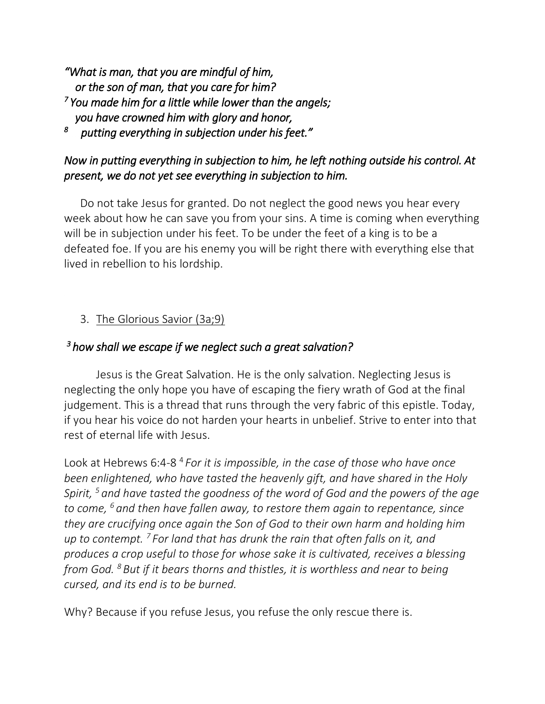*"What is man, that you are mindful of him, or the son of man, that you care for him? 7 You made him for a little while lower than the angels; you have crowned him with glory and honor,* 

*8 putting everything in subjection under his feet."* 

# *Now in putting everything in subjection to him, he left nothing outside his control. At present, we do not yet see everything in subjection to him.*

Do not take Jesus for granted. Do not neglect the good news you hear every week about how he can save you from your sins. A time is coming when everything will be in subjection under his feet. To be under the feet of a king is to be a defeated foe. If you are his enemy you will be right there with everything else that lived in rebellion to his lordship.

# 3. The Glorious Savior (3a;9)

## *<sup>3</sup>how shall we escape if we neglect such a great salvation?*

Jesus is the Great Salvation. He is the only salvation. Neglecting Jesus is neglecting the only hope you have of escaping the fiery wrath of God at the final judgement. This is a thread that runs through the very fabric of this epistle. Today, if you hear his voice do not harden your hearts in unbelief. Strive to enter into that rest of eternal life with Jesus.

Look at Hebrews 6:4-8<sup>4</sup> For it is impossible, in the case of those who have once *been enlightened, who have tasted the heavenly gift, and have shared in the Holy Spirit, <sup>5</sup> and have tasted the goodness of the word of God and the powers of the age to come, <sup>6</sup> and then have fallen away, to restore them again to repentance, since they are crucifying once again the Son of God to their own harm and holding him up to contempt. <sup>7</sup> For land that has drunk the rain that often falls on it, and produces a crop useful to those for whose sake it is cultivated, receives a blessing from God. <sup>8</sup> But if it bears thorns and thistles, it is worthless and near to being cursed, and its end is to be burned.*

Why? Because if you refuse Jesus, you refuse the only rescue there is.